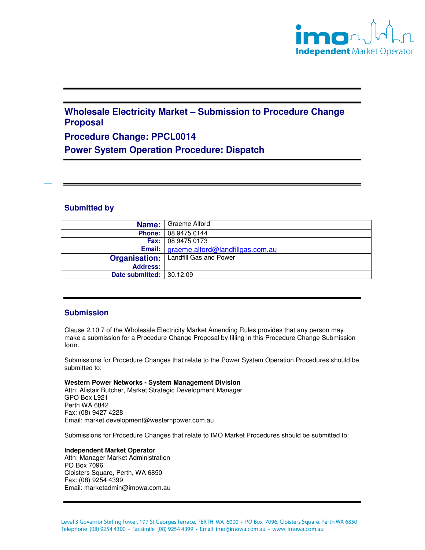

# **Wholesale Electricity Market – Submission to Procedure Change Proposal**

## **Procedure Change: PPCL0014**

**Power System Operation Procedure: Dispatch** 

## **Submitted by**

|                          | Name:   Graeme Alford                            |
|--------------------------|--------------------------------------------------|
|                          | <b>Phone: 08 9475 0144</b>                       |
| Fax: I                   | 08 9475 0173                                     |
|                          | <b>Email:</b>   graeme.alford@landfillgas.com.au |
| Organisation:            | Landfill Gas and Power                           |
| <b>Address:</b>          |                                                  |
| Date submitted: 30.12.09 |                                                  |

## **Submission**

Clause 2.10.7 of the Wholesale Electricity Market Amending Rules provides that any person may make a submission for a Procedure Change Proposal by filling in this Procedure Change Submission form.

Submissions for Procedure Changes that relate to the Power System Operation Procedures should be submitted to:

#### **Western Power Networks - System Management Division** Attn: Alistair Butcher, Market Strategic Development Manager GPO Box L921 Perth WA 6842 Fax: (08) 9427 4228

Email: market.development@westernpower.com.au

Submissions for Procedure Changes that relate to IMO Market Procedures should be submitted to:

#### **Independent Market Operator**

Attn: Manager Market Administration PO Box 7096 Cloisters Square, Perth, WA 6850 Fax: (08) 9254 4399 Email: marketadmin@imowa.com.au